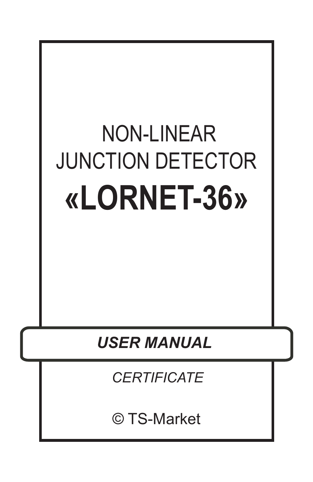# **NON-LINEAR** JUNCTION DETECTOR **«LORNET-36»**

*USER MANUAL*

*CERTIFICATE*

© TS-Market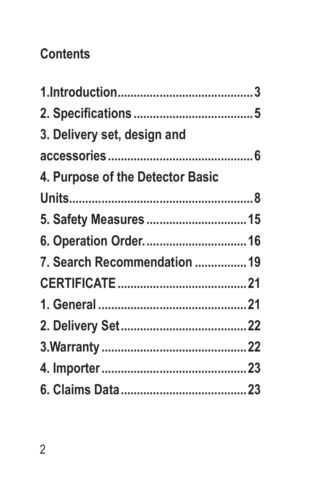# **Contents**

| 3. Delivery set, design and      |  |
|----------------------------------|--|
|                                  |  |
| 4. Purpose of the Detector Basic |  |
|                                  |  |
| 5. Safety Measures  15           |  |
| 6. Operation Order.  16          |  |
| 7. Search Recommendation  19     |  |
|                                  |  |
|                                  |  |
|                                  |  |
|                                  |  |
|                                  |  |
|                                  |  |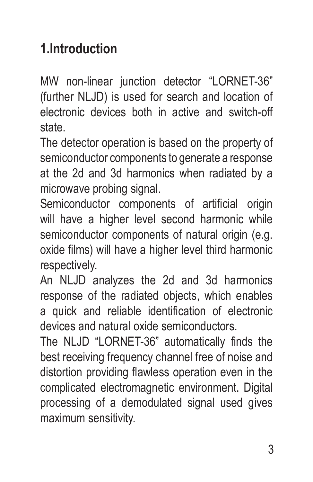# **1.Introduction**

MW non-linear junction detector "LORNET-36" (further NLJD) is used for search and location of electronic devices both in active and switch-off state.

The detector operation is based on the property of semiconductor components to generate a response at the 2d and 3d harmonics when radiated by a microwave probing signal.

Semiconductor components of artificial origin will have a higher level second harmonic while semiconductor components of natural origin (e.g. oxide films) will have a higher level third harmonic respectively.

An NLJD analyzes the 2d and 3d harmonics response of the radiated objects, which enables a quick and reliable identification of electronic devices and natural oxide semiconductors.

The NLJD "LORNET-36" automatically finds the best receiving frequency channel free of noise and distortion providing flawless operation even in the complicated electromagnetic environment. Digital processing of a demodulated signal used gives maximum sensitivity.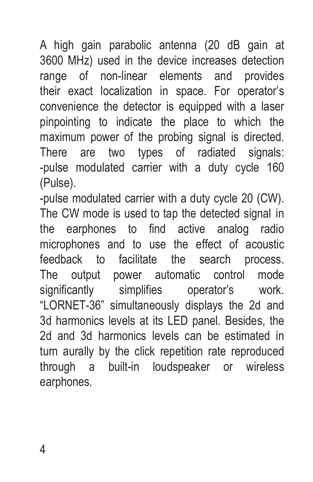A high gain parabolic antenna (20 dB gain at 3600 MHz) used in the device increases detection range of non-linear elements and provides their exact localization in space. For operator's convenience the detector is equipped with a laser pinpointing to indicate the place to which the maximum power of the probing signal is directed. There are two types of radiated signals: -pulse modulated carrier with a duty cycle 160 (Pulse).

-pulse modulated carrier with a duty cycle 20 (CW). The CW mode is used to tap the detected signal in the earphones to find active analog radio microphones and to use the effect of acoustic feedback to facilitate the search process. The output power automatic control mode significantly simplifies operator's work. "LORNET-36" simultaneously displays the 2d and 3d harmonics levels at its LED panel. Besides, the 2d and 3d harmonics levels can be estimated in turn aurally by the click repetition rate reproduced through a built-in loudspeaker or wireless earphones.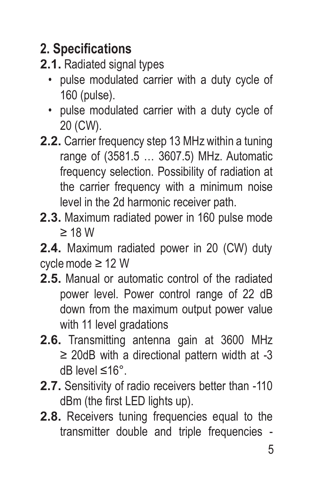# **2. Specifications**

#### **2.1.** Radiated signal types

- pulse modulated carrier with a duty cycle of 160 (pulse).
- pulse modulated carrier with a duty cycle of 20 (CW).
- **2.2.** Carrier frequency step 13 MHz within a tuning range of (3581.5 … 3607.5) MHz. Automatic frequency selection. Possibility of radiation at the carrier frequency with a minimum noise level in the 2d harmonic receiver path.
- **2.3.** Maximum radiated power in 160 pulse mode ≥ 18 W

**2.4.** Maximum radiated power in 20 (CW) duty cycle mode ≥ 12 W

- **2.5.** Manual or automatic control of the radiated power level. Power control range of 22 dB down from the maximum output power value with 11 level gradations
- **2.6.** Transmitting antenna gain at 3600 MHz ≥ 20dB with a directional pattern width at -3 dB level ≤16°.
- **2.7.** Sensitivity of radio receivers better than -110 dBm (the first LED lights up).
- **2.8.** Receivers tuning frequencies equal to the transmitter double and triple frequencies -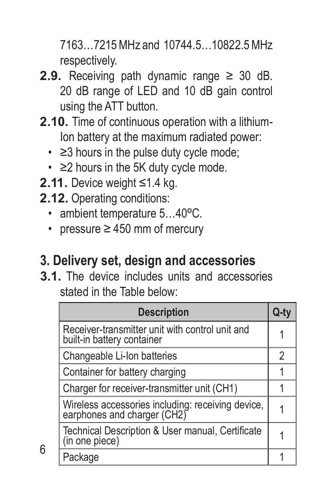7163…7215 MHz and 10744.5…10822.5MHz respectively.

- **2.9.** Receiving path dynamic range  $\geq$  30 dB. 20 dB range of LED and 10 dB gain control using the ATT button.
- **2.10.** Time of continuous operation with a lithium-Ion battery at the maximum radiated power:
	- ≥3 hours in the pulse duty cycle mode;
	- ≥2 hours in the 5K duty cycle mode.
- **2.11.** Device weight ≤1.4 kg.
- **2.12.** Operating conditions:
	- ambient temperature 5…40ºC.
	- pressure ≥ 450 mm of mercury

#### **3. Delivery set, design and accessories**

**3.1.** The device includes units and accessories stated in the Table below:

| <b>Description</b>                                                               |   |
|----------------------------------------------------------------------------------|---|
| Receiver-transmitter unit with control unit and<br>built-in battery container    |   |
| Changeable Li-Ion batteries                                                      | 2 |
| Container for battery charging                                                   |   |
| Charger for receiver-transmitter unit (CH1)                                      |   |
| Wireless accessories including: receiving device,<br>earphones and charger (CH2) |   |
| Technical Description & User manual, Certificate<br>(in one piece)               |   |
| Package                                                                          |   |

6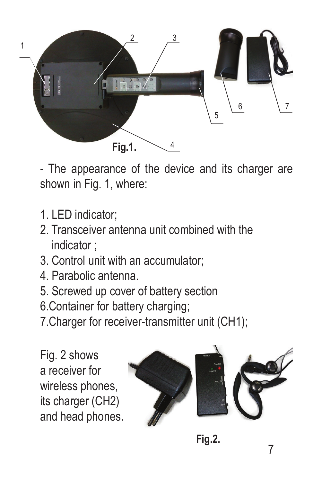

- The appearance of the device and its charger are shown in Fig. 1, where:

- 1. LED indicator;
- 2. Transceiver antenna unit combined with the indicator ;
- 3. Control unit with an accumulator;
- 4. Parabolic antenna.
- 5. Screwed up cover of battery section
- 6.Container for battery charging;
- 7.Charger for receiver-transmitter unit (CH1);

Fig. 2 shows a receiver for wireless phones, its charger (CH2) and head phones.



**Fig.2.**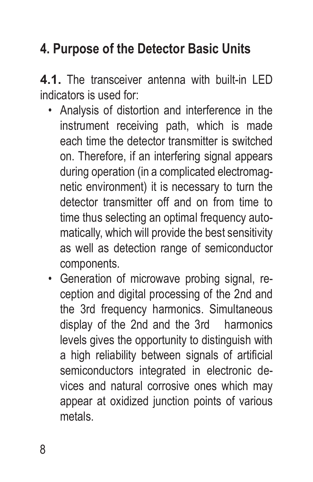# **4. Purpose of the Detector Basic Units**

**4.1.** The transceiver antenna with built-in LED indicators is used for:

- Analysis of distortion and interference in the instrument receiving path, which is made each time the detector transmitter is switched on. Therefore, if an interfering signal appears during operation (in a complicated electromagnetic environment) it is necessary to turn the detector transmitter off and on from time to time thus selecting an optimal frequency automatically, which will provide the best sensitivity as well as detection range of semiconductor components.
- Generation of microwave probing signal, reception and digital processing of the 2nd and the 3rd frequency harmonics. Simultaneous display of the 2nd and the 3rd harmonics levels gives the opportunity to distinguish with a high reliability between signals of artificial semiconductors integrated in electronic devices and natural corrosive ones which may appear at oxidized junction points of various metals.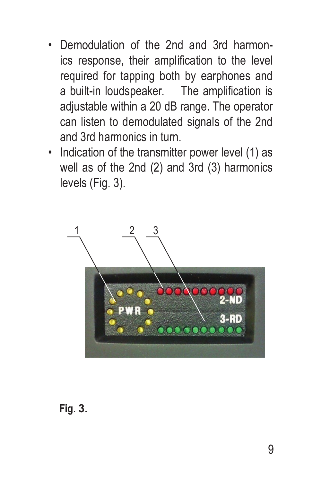- Demodulation of the 2nd and 3rd harmonics response, their amplification to the level required for tapping both by earphones and a built-in loudspeaker. The amplification is adjustable within a 20 dB range. The operator can listen to demodulated signals of the 2nd and 3rd harmonics in turn.
- Indication of the transmitter power level (1) as well as of the 2nd (2) and 3rd (3) harmonics levels (Fig. 3).



#### **Fig. 3.**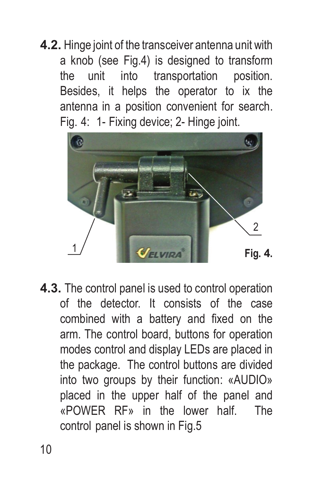**4.2.** Hinge joint of the transceiver antenna unit with a knob (see Fig.4) is designed to transform the unit into transportation position. Besides, it helps the operator to ix the antenna in a position convenient for search. Fig. 4: 1- Fixing device; 2- Hinge joint.



**4.3.** The control panel is used to control operation of the detector. It consists of the case combined with a battery and fixed on the arm. The control board, buttons for operation modes control and display LEDs are placed in the package. The control buttons are divided into two groups by their function: «AUDIO» placed in the upper half of the panel and «POWER RF» in the lower half. The control panel is shown in Fig.5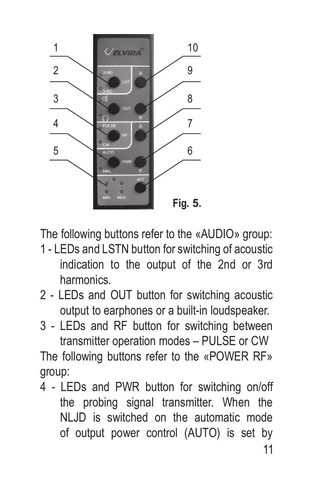

The following buttons refer to the «AUDIO» group:

- 1 LEDs and LSTN button for switching of acoustic indication to the output of the 2nd or 3rd harmonics.
- 2 LEDs and OUT button for switching acoustic output to earphones or a built-in loudspeaker.
- 3 LEDs and RF button for switching between transmitter operation modes – PULSE or CW

The following buttons refer to the «POWER RF» group:

4 - LEDs and PWR button for switching on/off the probing signal transmitter. When the NLJD is switched on the automatic mode of output power control (AUTO) is set by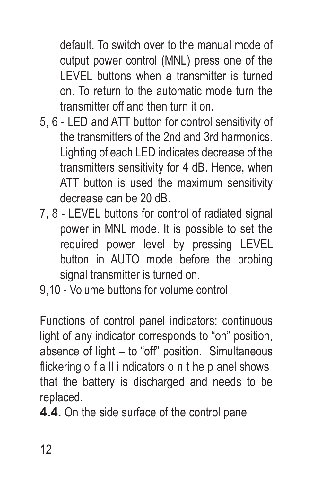default. To switch over to the manual mode of output power control (MNL) press one of the LEVEL buttons when a transmitter is turned on. To return to the automatic mode turn the transmitter off and then turn it on.

- 5, 6 LED and ATT button for control sensitivity of the transmitters of the 2nd and 3rd harmonics. Lighting of each LED indicates decrease of the transmitters sensitivity for 4 dB. Hence, when ATT button is used the maximum sensitivity decrease can be 20 dB.
- 7, 8 LEVEL buttons for control of radiated signal power in MNL mode. It is possible to set the required power level by pressing LEVEL button in AUTO mode before the probing signal transmitter is turned on.
- 9,10 Volume buttons for volume control

Functions of control panel indicators: continuous light of any indicator corresponds to "on" position, absence of light – to "off" position. Simultaneous flickering o f a II i ndicators o n t he p anel shows that the battery is discharged and needs to be replaced.

**4.4.** On the side surface of the control panel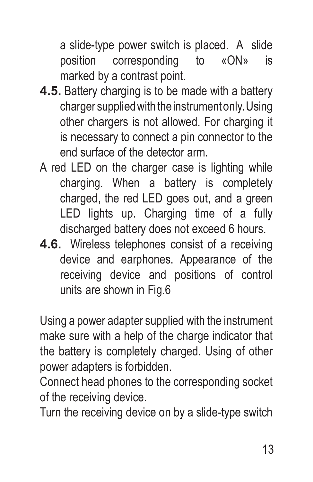a slide-type power switch is placed. A slide position corresponding to «ON» is marked by a contrast point.

- **4.5.** Battery charging is to be made with a battery charger supplied with the instrument only. Using other chargers is not allowed. For charging it is necessary to connect a pin connector to the end surface of the detector arm.
- A red LED on the charger case is lighting while charging. When a battery is completely charged, the red LED goes out, and a green LED lights up. Charging time of a fully discharged battery does not exceed 6 hours.
- **4.6.** Wireless telephones consist of a receiving device and earphones. Appearance of the receiving device and positions of control units are shown in Fig.6

Using a power adapter supplied with the instrument make sure with a help of the charge indicator that the battery is completely charged. Using of other power adapters is forbidden.

Connect head phones to the corresponding socket of the receiving device.

Turn the receiving device on by a slide-type switch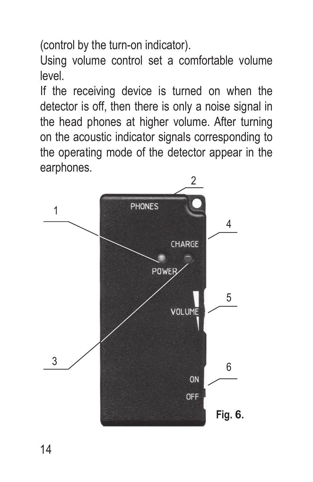(control by the turn-on indicator).

Using volume control set a comfortable volume level.

If the receiving device is turned on when the detector is off, then there is only a noise signal in the head phones at higher volume. After turning on the acoustic indicator signals corresponding to the operating mode of the detector appear in the earphones.

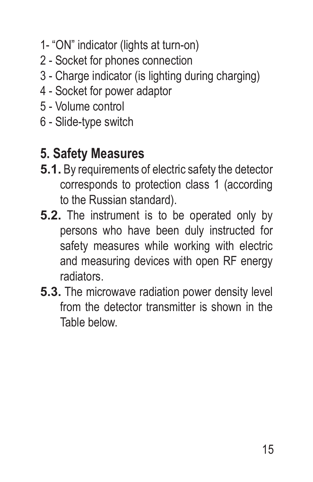- 1- "ON" indicator (lights at turn-on)
- 2 Socket for phones connection
- 3 Charge indicator (is lighting during charging)
- 4 Socket for power adaptor
- 5 Volume control
- 6 Slide-type switch

#### **5. Safety Measures**

- **5.1.** By requirements of electric safety the detector corresponds to protection class 1 (according to the Russian standard).
- **5.2.** The instrument is to be operated only by persons who have been duly instructed for safety measures while working with electric and measuring devices with open RF energy radiators.
- **5.3.** The microwave radiation power density level from the detector transmitter is shown in the Table below.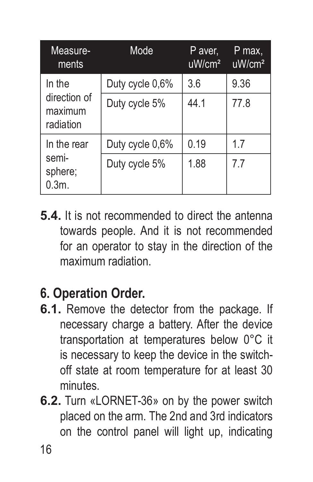| Measure-<br>ments                    | Mode            | P aver,<br>$u$ W/cm <sup>2</sup> | P max,<br>uW/cm <sup>2</sup> |
|--------------------------------------|-----------------|----------------------------------|------------------------------|
| In the                               | Duty cycle 0,6% | 3.6                              | 9.36                         |
| direction of<br>maximum<br>radiation | Duty cycle 5%   | 44.1                             | 77.8                         |
| In the rear                          | Duty cycle 0,6% | 0.19                             | 17                           |
| semi-<br>sphere;<br>$0.3m$ .         | Duty cycle 5%   | 1.88                             | 77                           |

**5.4.** It is not recommended to direct the antenna towards people. And it is not recommended for an operator to stay in the direction of the maximum radiation.

#### **6. Operation Order.**

- **6.1.** Remove the detector from the package. If necessary charge a battery. After the device transportation at temperatures below 0°C it is necessary to keep the device in the switchoff state at room temperature for at least 30 minutes.
- **6.2.** Turn «LORNET-36» on by the power switch placed on the arm. The 2nd and 3rd indicators on the control panel will light up, indicating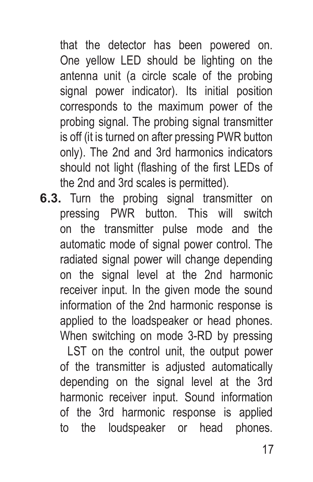that the detector has been powered on. One yellow LED should be lighting on the antenna unit (a circle scale of the probing signal power indicator). Its initial position corresponds to the maximum power of the probing signal. The probing signal transmitter is off (it is turned on after pressing PWR button only). The 2nd and 3rd harmonics indicators should not light (flashing of the first LEDs of the 2nd and 3rd scales is permitted).

**6.3.** Turn the probing signal transmitter on pressing PWR button. This will switch on the transmitter pulse mode and the automatic mode of signal power control. The radiated signal power will change depending on the signal level at the 2nd harmonic receiver input. In the given mode the sound information of the 2nd harmonic response is applied to the loadspeaker or head phones. When switching on mode 3-RD by pressing

LST on the control unit, the output power of the transmitter is adjusted automatically depending on the signal level at the 3rd harmonic receiver input. Sound information of the 3rd harmonic response is applied to the loudspeaker or head phones.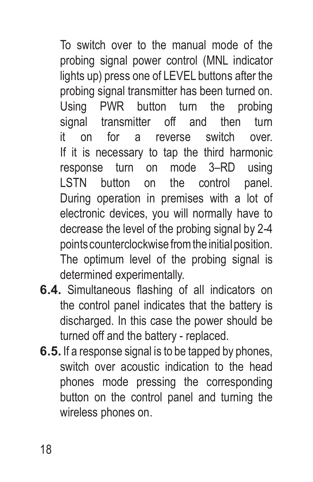To switch over to the manual mode of the probing signal power control (MNL indicator lights up) press one of LEVEL buttons after the probing signal transmitter has been turned on. Using PWR button turn the probing signal transmitter off and then turn it on for a reverse switch over. If it is necessary to tap the third harmonic response turn on mode 3–RD using LSTN button on the control panel. During operation in premises with a lot of electronic devices, you will normally have to decrease the level of the probing signal by 2-4 points counterclockwise from the initial position. The optimum level of the probing signal is determined experimentally.

- **6.4.** Simultaneous flashing of all indicators on the control panel indicates that the battery is discharged. In this case the power should be turned off and the battery - replaced.
- **6.5.** If a response signal is to be tapped by phones. switch over acoustic indication to the head phones mode pressing the corresponding button on the control panel and turning the wireless phones on.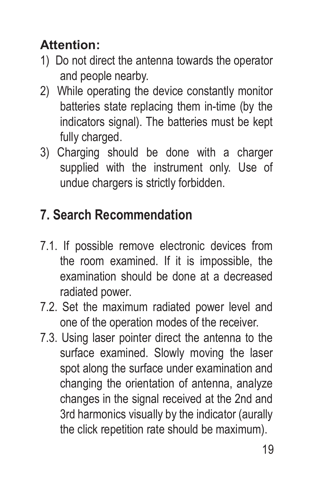#### **Attention:**

- 1) Do not direct the antenna towards the operator and people nearby.
- 2) While operating the device constantly monitor batteries state replacing them in-time (by the indicators signal). The batteries must be kept fully charged.
- 3) Charging should be done with a charger supplied with the instrument only. Use of undue chargers is strictly forbidden.

### **7. Search Recommendation**

- 7.1. If possible remove electronic devices from the room examined. If it is impossible, the examination should be done at a decreased radiated power.
- 7.2. Set the maximum radiated power level and one of the operation modes of the receiver.
- 7.3. Using laser pointer direct the antenna to the surface examined. Slowly moving the laser spot along the surface under examination and changing the orientation of antenna, analyze changes in the signal received at the 2nd and 3rd harmonics visually by the indicator (aurally the click repetition rate should be maximum).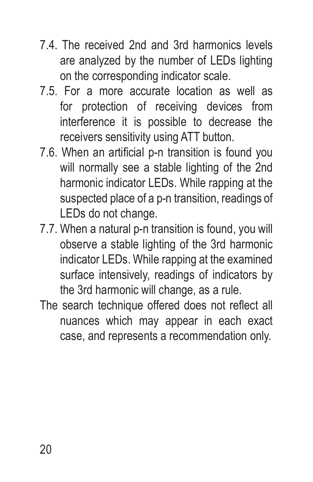- 7.4. The received 2nd and 3rd harmonics levels are analyzed by the number of LEDs lighting on the corresponding indicator scale.
- 7.5. For a more accurate location as well as for protection of receiving devices from interference it is possible to decrease the receivers sensitivity using ATT button.
- 7.6. When an artificial р-n transition is found you will normally see a stable lighting of the 2nd harmonic indicator LEDs. While rapping at the suspected place of a p-n transition, readings of LEDs do not change.
- 7.7. When a natural р-n transition is found, you will observe a stable lighting of the 3rd harmonic indicator LEDs. While rapping at the examined surface intensively, readings of indicators by the 3rd harmonic will change, as a rule.
- The search technique offered does not reflect all nuances which may appear in each exact case, and represents a recommendation only.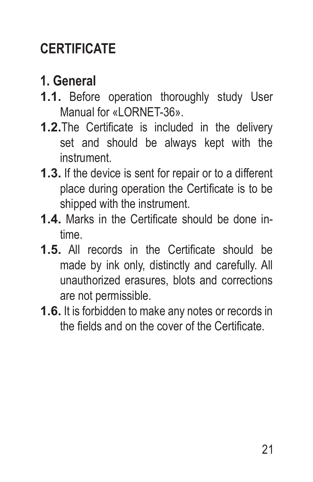# **CERTIFICATE**

# **1. General**

- **1.1.** Before operation thoroughly study User Manual for «LORNET-36»
- **1.2.**The Certificate is included in the delivery set and should be always kept with the instrument.
- **1.3.** If the device is sent for repair or to a different place during operation the Certificate is to be shipped with the instrument.
- **1.4.** Marks in the Certificate should be done intime.
- **1.5.** All records in the Certificate should be made by ink only, distinctly and carefully. All unauthorized erasures, blots and corrections are not permissible.
- **1.6.** It is forbidden to make any notes or records in the fields and on the cover of the Certificate.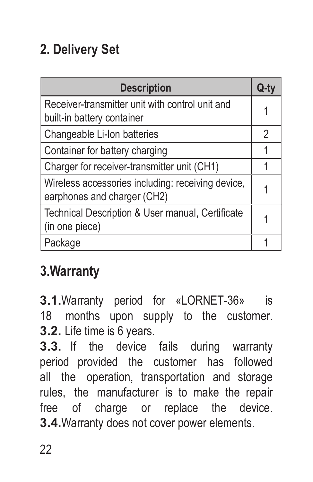# **2. Delivery Set**

| <b>Description</b>                                                               | Q-1 |
|----------------------------------------------------------------------------------|-----|
| Receiver-transmitter unit with control unit and<br>built-in battery container    | 1   |
| Changeable Li-Ion batteries                                                      | 2   |
| Container for battery charging                                                   | 1   |
| Charger for receiver-transmitter unit (CH1)                                      |     |
| Wireless accessories including: receiving device,<br>earphones and charger (CH2) |     |
| Technical Description & User manual, Certificate<br>(in one piece)               |     |
| Package                                                                          |     |

# **3.Warranty**

**3.1.**Warranty period for «LORNET-36» is 18 months upon supply to the customer. **3.2.** Life time is 6 years.

**3.3.** If the device fails during warranty period provided the customer has followed all the operation, transportation and storage rules, the manufacturer is to make the repair free of charge or replace the device. **3.4.**Warranty does not cover power elements.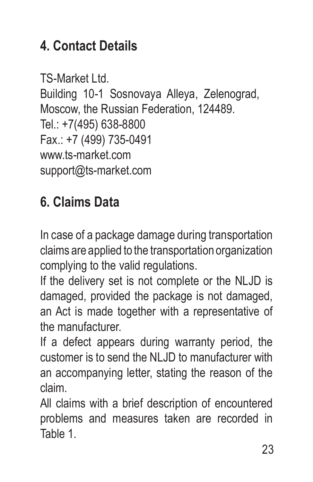# **4. Contact Details**

TS-Market Ltd. Building 10-1 Sosnovaya Alleya, Zelenograd, Moscow, the Russian Federation, 124489. Tel.: +7(495) 638-8800 Fax.: +7 (499) 735-0491 www.ts-market.com support@ts-market.com

### **6. Claims Data**

In case of a package damage during transportation claims are applied to the transportation organization complying to the valid regulations.

If the delivery set is not complete or the NLJD is damaged, provided the package is not damaged, an Act is made together with a representative of the manufacturer.

If a defect appears during warranty period, the customer is to send the NLJD to manufacturer with an accompanying letter, stating the reason of the claim.

All claims with a brief description of encountered problems and measures taken are recorded in Table 1.